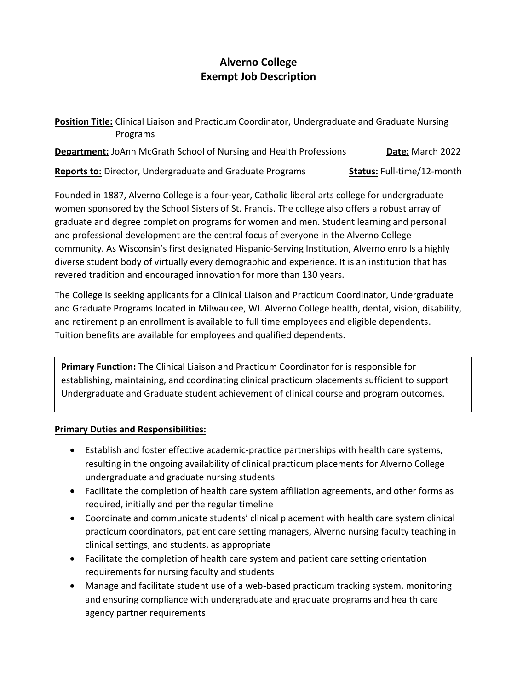## **Alverno College Exempt Job Description**

**Position Title:** Clinical Liaison and Practicum Coordinator, Undergraduate and Graduate Nursing Programs

| <b>Department:</b> JoAnn McGrath School of Nursing and Health Professions |  |  |  |  | Date: March 2022 |  |
|---------------------------------------------------------------------------|--|--|--|--|------------------|--|
|                                                                           |  |  |  |  |                  |  |

**Reports to:** Director, Undergraduate and Graduate Programs **Status:** Full-time/12-month

Founded in 1887, Alverno College is a four-year, Catholic liberal arts college for undergraduate women sponsored by the School Sisters of St. Francis. The college also offers a robust array of graduate and degree completion programs for women and men. Student learning and personal and professional development are the central focus of everyone in the Alverno College community. As Wisconsin's first designated Hispanic-Serving Institution, Alverno enrolls a highly diverse student body of virtually every demographic and experience. It is an institution that has revered tradition and encouraged innovation for more than 130 years.

The College is seeking applicants for a Clinical Liaison and Practicum Coordinator, Undergraduate and Graduate Programs located in Milwaukee, WI. Alverno College health, dental, vision, disability, and retirement plan enrollment is available to full time employees and eligible dependents. Tuition benefits are available for employees and qualified dependents.

**Primary Function:** The Clinical Liaison and Practicum Coordinator for is responsible for establishing, maintaining, and coordinating clinical practicum placements sufficient to support Undergraduate and Graduate student achievement of clinical course and program outcomes.

## **Primary Duties and Responsibilities:**

- Establish and foster effective academic-practice partnerships with health care systems, resulting in the ongoing availability of clinical practicum placements for Alverno College undergraduate and graduate nursing students
- Facilitate the completion of health care system affiliation agreements, and other forms as required, initially and per the regular timeline
- Coordinate and communicate students' clinical placement with health care system clinical practicum coordinators, patient care setting managers, Alverno nursing faculty teaching in clinical settings, and students, as appropriate
- Facilitate the completion of health care system and patient care setting orientation requirements for nursing faculty and students
- Manage and facilitate student use of a web-based practicum tracking system, monitoring and ensuring compliance with undergraduate and graduate programs and health care agency partner requirements